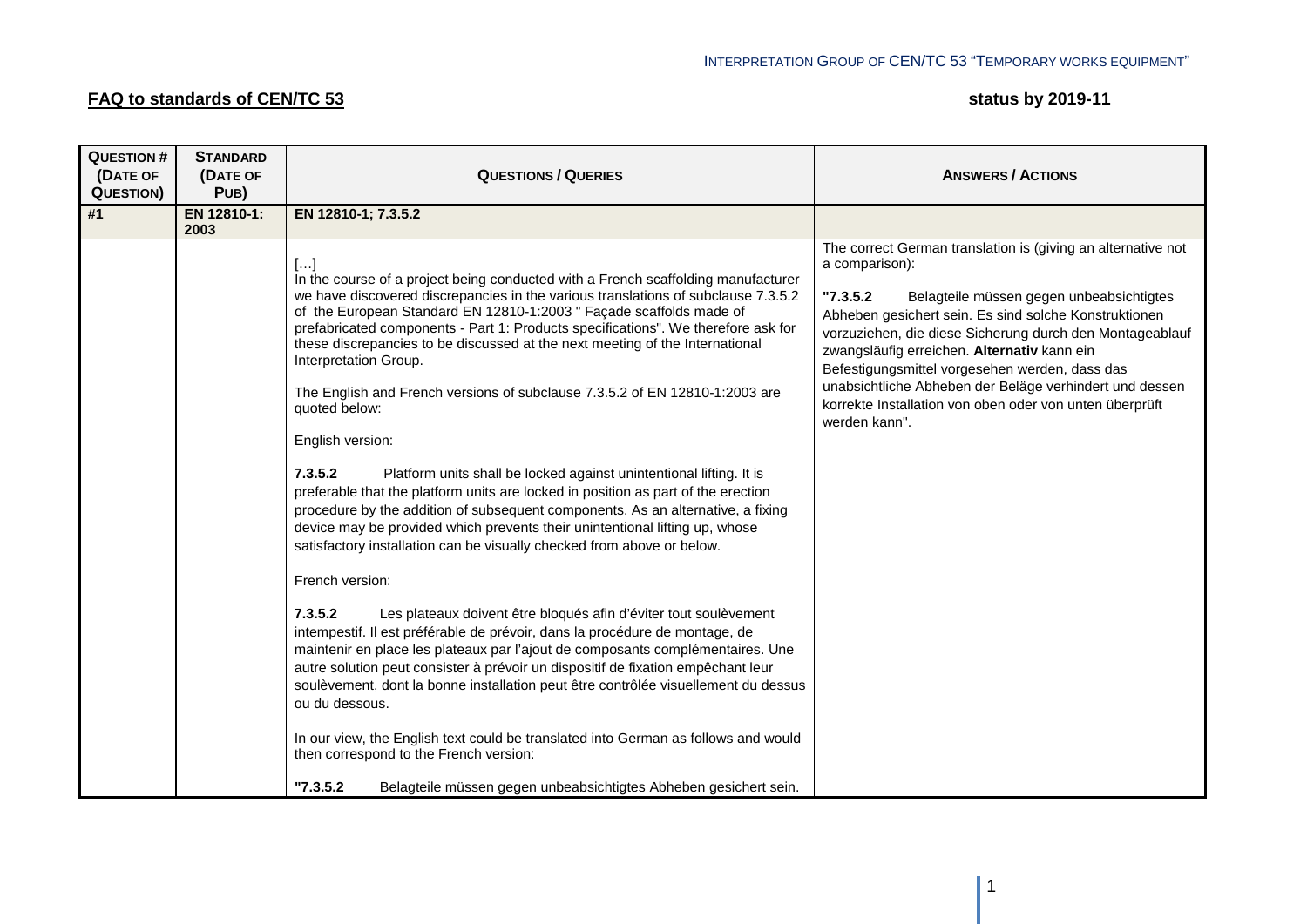## **FAQ to standards of CEN/TC 53 Status by 2019-11 status by 2019-11**

| <b>QUESTION#</b><br>(DATE OF<br><b>QUESTION)</b> | <b>STANDARD</b><br>(DATE OF<br>PUB) | <b>QUESTIONS / QUERIES</b>                                                                                                                                                                                                                                                                                                                                                                                                                                                                                                                                                                                                                                                                                                                                                                                                                                                                                                                                                                                                                                                                                                                                                                                                                                                                                                                                                                                                                                                                                                                                                                                                                                                 | <b>ANSWERS / ACTIONS</b>                                                                                                                                                                                                                                                                                                                                                                                                                                                                             |
|--------------------------------------------------|-------------------------------------|----------------------------------------------------------------------------------------------------------------------------------------------------------------------------------------------------------------------------------------------------------------------------------------------------------------------------------------------------------------------------------------------------------------------------------------------------------------------------------------------------------------------------------------------------------------------------------------------------------------------------------------------------------------------------------------------------------------------------------------------------------------------------------------------------------------------------------------------------------------------------------------------------------------------------------------------------------------------------------------------------------------------------------------------------------------------------------------------------------------------------------------------------------------------------------------------------------------------------------------------------------------------------------------------------------------------------------------------------------------------------------------------------------------------------------------------------------------------------------------------------------------------------------------------------------------------------------------------------------------------------------------------------------------------------|------------------------------------------------------------------------------------------------------------------------------------------------------------------------------------------------------------------------------------------------------------------------------------------------------------------------------------------------------------------------------------------------------------------------------------------------------------------------------------------------------|
| #1                                               | EN 12810-1:<br>2003                 | EN 12810-1; 7.3.5.2                                                                                                                                                                                                                                                                                                                                                                                                                                                                                                                                                                                                                                                                                                                                                                                                                                                                                                                                                                                                                                                                                                                                                                                                                                                                                                                                                                                                                                                                                                                                                                                                                                                        |                                                                                                                                                                                                                                                                                                                                                                                                                                                                                                      |
|                                                  |                                     | $[]$<br>In the course of a project being conducted with a French scaffolding manufacturer<br>we have discovered discrepancies in the various translations of subclause 7.3.5.2<br>of the European Standard EN 12810-1:2003 " Façade scaffolds made of<br>prefabricated components - Part 1: Products specifications". We therefore ask for<br>these discrepancies to be discussed at the next meeting of the International<br>Interpretation Group.<br>The English and French versions of subclause 7.3.5.2 of EN 12810-1:2003 are<br>quoted below:<br>English version:<br>7.3.5.2<br>Platform units shall be locked against unintentional lifting. It is<br>preferable that the platform units are locked in position as part of the erection<br>procedure by the addition of subsequent components. As an alternative, a fixing<br>device may be provided which prevents their unintentional lifting up, whose<br>satisfactory installation can be visually checked from above or below.<br>French version:<br>7.3.5.2<br>Les plateaux doivent être bloqués afin d'éviter tout soulèvement<br>intempestif. Il est préférable de prévoir, dans la procédure de montage, de<br>maintenir en place les plateaux par l'ajout de composants complémentaires. Une<br>autre solution peut consister à prévoir un dispositif de fixation empêchant leur<br>soulèvement, dont la bonne installation peut être contrôlée visuellement du dessus<br>ou du dessous.<br>In our view, the English text could be translated into German as follows and would<br>then correspond to the French version:<br>"7.3.5.2"<br>Belagteile müssen gegen unbeabsichtigtes Abheben gesichert sein. | The correct German translation is (giving an alternative not<br>a comparison):<br>"7.3.5.2"<br>Belagteile müssen gegen unbeabsichtigtes<br>Abheben gesichert sein. Es sind solche Konstruktionen<br>vorzuziehen, die diese Sicherung durch den Montageablauf<br>zwangsläufig erreichen. Alternativ kann ein<br>Befestigungsmittel vorgesehen werden, dass das<br>unabsichtliche Abheben der Beläge verhindert und dessen<br>korrekte Installation von oben oder von unten überprüft<br>werden kann". |
|                                                  |                                     |                                                                                                                                                                                                                                                                                                                                                                                                                                                                                                                                                                                                                                                                                                                                                                                                                                                                                                                                                                                                                                                                                                                                                                                                                                                                                                                                                                                                                                                                                                                                                                                                                                                                            |                                                                                                                                                                                                                                                                                                                                                                                                                                                                                                      |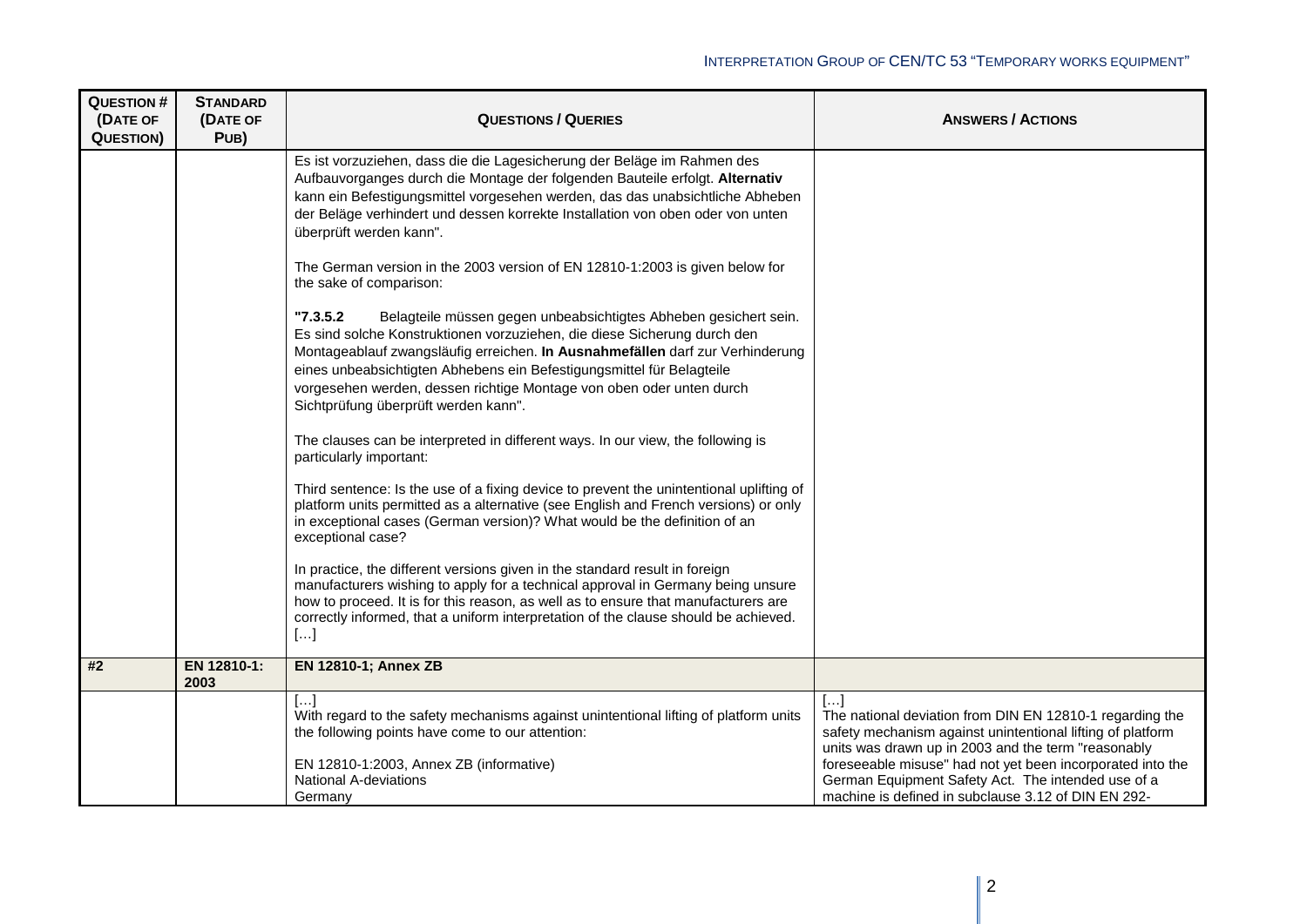| <b>QUESTION#</b><br>(DATE OF | <b>STANDARD</b><br>(DATE OF | <b>QUESTIONS / QUERIES</b>                                                                                                                                                                                                                                                                                                                                                                                                          | <b>ANSWERS / ACTIONS</b>                                                                                                                                                                                                                           |
|------------------------------|-----------------------------|-------------------------------------------------------------------------------------------------------------------------------------------------------------------------------------------------------------------------------------------------------------------------------------------------------------------------------------------------------------------------------------------------------------------------------------|----------------------------------------------------------------------------------------------------------------------------------------------------------------------------------------------------------------------------------------------------|
| <b>QUESTION)</b>             | PUB)                        |                                                                                                                                                                                                                                                                                                                                                                                                                                     |                                                                                                                                                                                                                                                    |
|                              |                             | Es ist vorzuziehen, dass die die Lagesicherung der Beläge im Rahmen des<br>Aufbauvorganges durch die Montage der folgenden Bauteile erfolgt. Alternativ<br>kann ein Befestigungsmittel vorgesehen werden, das das unabsichtliche Abheben<br>der Beläge verhindert und dessen korrekte Installation von oben oder von unten<br>überprüft werden kann".                                                                               |                                                                                                                                                                                                                                                    |
|                              |                             | The German version in the 2003 version of EN 12810-1:2003 is given below for<br>the sake of comparison:                                                                                                                                                                                                                                                                                                                             |                                                                                                                                                                                                                                                    |
|                              |                             | "7.3.5.2"<br>Belagteile müssen gegen unbeabsichtigtes Abheben gesichert sein.<br>Es sind solche Konstruktionen vorzuziehen, die diese Sicherung durch den<br>Montageablauf zwangsläufig erreichen. In Ausnahmefällen darf zur Verhinderung<br>eines unbeabsichtigten Abhebens ein Befestigungsmittel für Belagteile<br>vorgesehen werden, dessen richtige Montage von oben oder unten durch<br>Sichtprüfung überprüft werden kann". |                                                                                                                                                                                                                                                    |
|                              |                             | The clauses can be interpreted in different ways. In our view, the following is<br>particularly important:                                                                                                                                                                                                                                                                                                                          |                                                                                                                                                                                                                                                    |
|                              |                             | Third sentence: Is the use of a fixing device to prevent the unintentional uplifting of<br>platform units permitted as a alternative (see English and French versions) or only<br>in exceptional cases (German version)? What would be the definition of an<br>exceptional case?                                                                                                                                                    |                                                                                                                                                                                                                                                    |
|                              |                             | In practice, the different versions given in the standard result in foreign<br>manufacturers wishing to apply for a technical approval in Germany being unsure<br>how to proceed. It is for this reason, as well as to ensure that manufacturers are<br>correctly informed, that a uniform interpretation of the clause should be achieved.<br>[]                                                                                   |                                                                                                                                                                                                                                                    |
| #2                           | EN 12810-1:<br>2003         | <b>EN 12810-1; Annex ZB</b>                                                                                                                                                                                                                                                                                                                                                                                                         |                                                                                                                                                                                                                                                    |
|                              |                             | […]<br>With regard to the safety mechanisms against unintentional lifting of platform units<br>the following points have come to our attention:<br>EN 12810-1:2003, Annex ZB (informative)                                                                                                                                                                                                                                          | […]<br>The national deviation from DIN EN 12810-1 regarding the<br>safety mechanism against unintentional lifting of platform<br>units was drawn up in 2003 and the term "reasonably<br>foreseeable misuse" had not yet been incorporated into the |
|                              |                             | <b>National A-deviations</b><br>Germany                                                                                                                                                                                                                                                                                                                                                                                             | German Equipment Safety Act. The intended use of a<br>machine is defined in subclause 3.12 of DIN EN 292-                                                                                                                                          |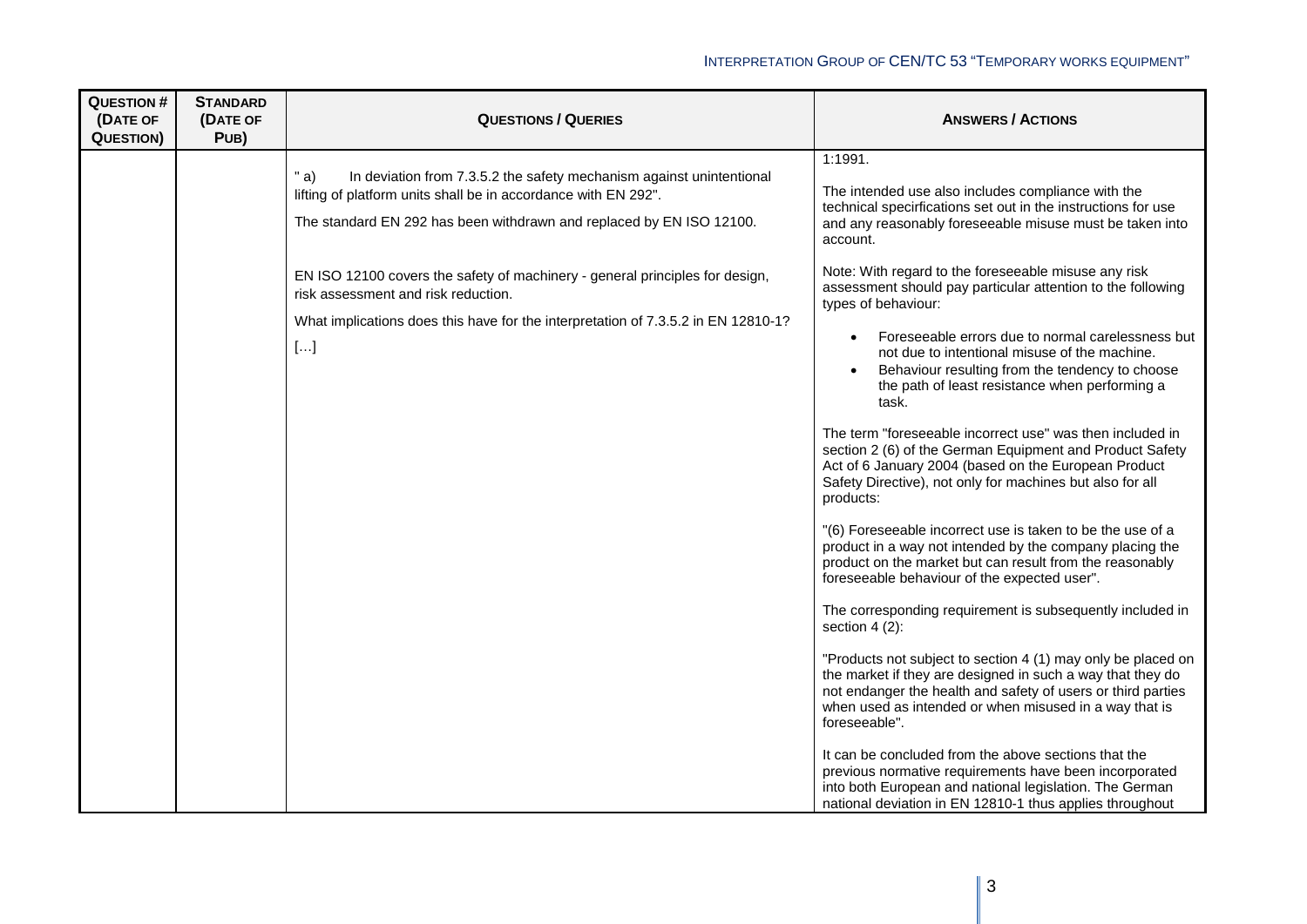| <b>QUESTION#</b><br>(DATE OF<br><b>QUESTION)</b> | <b>STANDARD</b><br>(DATE OF<br>PUB) | <b>QUESTIONS / QUERIES</b>                                                                                                                                                                                                                                                                                                                      | <b>ANSWERS / ACTIONS</b>                                                                                                                                                                                                                                                                                                                                                                                                                                                                                        |
|--------------------------------------------------|-------------------------------------|-------------------------------------------------------------------------------------------------------------------------------------------------------------------------------------------------------------------------------------------------------------------------------------------------------------------------------------------------|-----------------------------------------------------------------------------------------------------------------------------------------------------------------------------------------------------------------------------------------------------------------------------------------------------------------------------------------------------------------------------------------------------------------------------------------------------------------------------------------------------------------|
|                                                  |                                     | " $a)$<br>In deviation from 7.3.5.2 the safety mechanism against unintentional<br>lifting of platform units shall be in accordance with EN 292".<br>The standard EN 292 has been withdrawn and replaced by EN ISO 12100.<br>EN ISO 12100 covers the safety of machinery - general principles for design,<br>risk assessment and risk reduction. | 1:1991.<br>The intended use also includes compliance with the<br>technical specirfications set out in the instructions for use<br>and any reasonably foreseeable misuse must be taken into<br>account.<br>Note: With regard to the foreseeable misuse any risk<br>assessment should pay particular attention to the following                                                                                                                                                                                   |
|                                                  |                                     | What implications does this have for the interpretation of 7.3.5.2 in EN 12810-1?<br>$[]$                                                                                                                                                                                                                                                       | types of behaviour:<br>Foreseeable errors due to normal carelessness but<br>not due to intentional misuse of the machine.<br>Behaviour resulting from the tendency to choose<br>$\bullet$<br>the path of least resistance when performing a<br>task.<br>The term "foreseeable incorrect use" was then included in<br>section 2 (6) of the German Equipment and Product Safety<br>Act of 6 January 2004 (based on the European Product<br>Safety Directive), not only for machines but also for all<br>products: |
|                                                  |                                     |                                                                                                                                                                                                                                                                                                                                                 | "(6) Foreseeable incorrect use is taken to be the use of a<br>product in a way not intended by the company placing the<br>product on the market but can result from the reasonably<br>foreseeable behaviour of the expected user".<br>The corresponding requirement is subsequently included in<br>section $4(2)$ :<br>"Products not subject to section 4 (1) may only be placed on<br>the market if they are designed in such a way that they do                                                               |
|                                                  |                                     |                                                                                                                                                                                                                                                                                                                                                 | not endanger the health and safety of users or third parties<br>when used as intended or when misused in a way that is<br>foreseeable".<br>It can be concluded from the above sections that the<br>previous normative requirements have been incorporated<br>into both European and national legislation. The German<br>national deviation in EN 12810-1 thus applies throughout                                                                                                                                |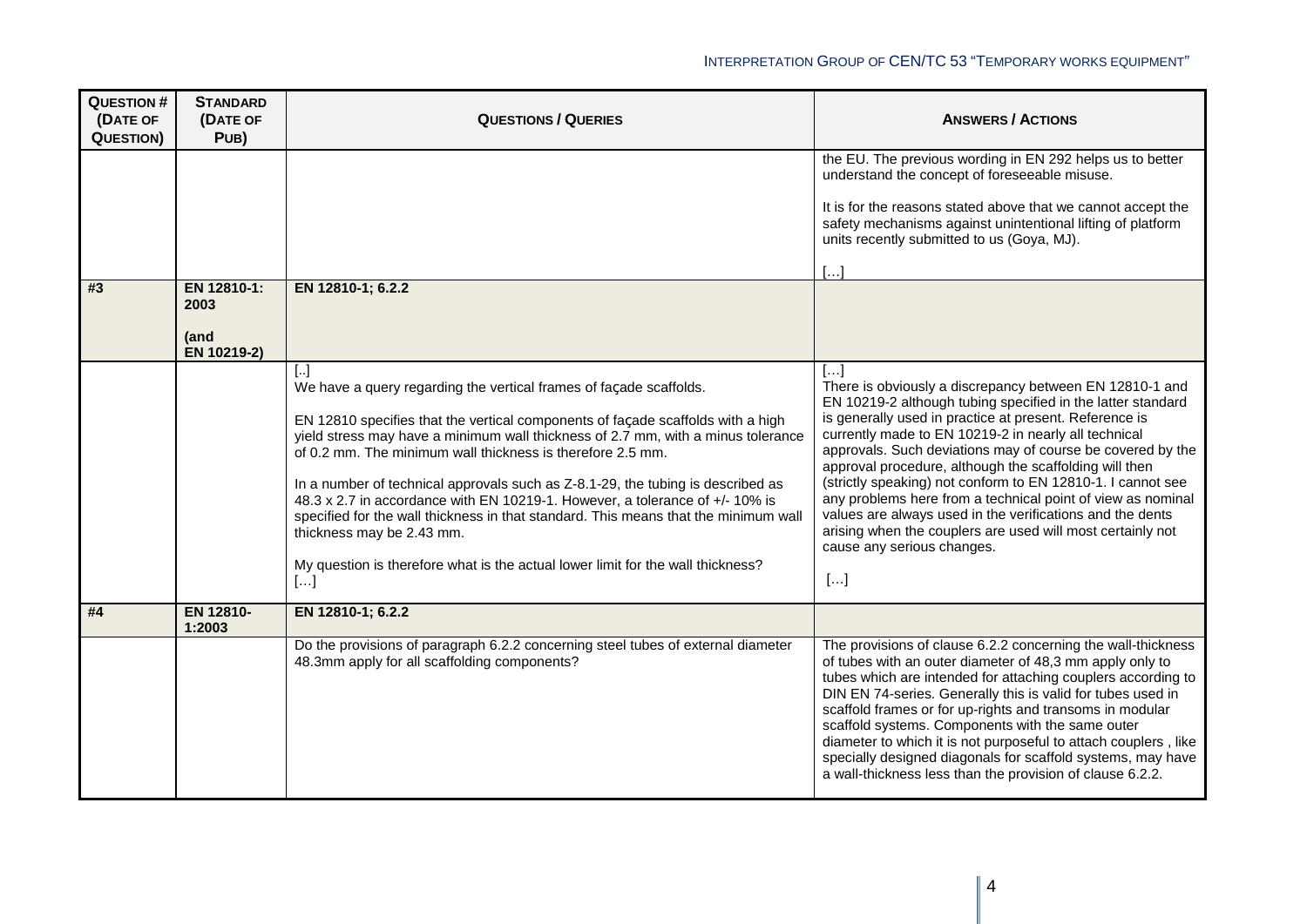| <b>QUESTION #</b><br>(DATE OF<br><b>QUESTION)</b> | <b>STANDARD</b><br>(DATE OF<br>PUB) | <b>QUESTIONS / QUERIES</b>                                                                                                                                                                                                                                                                                                                                                                                                                                                                                                                                                                                                                                                                    | <b>ANSWERS / ACTIONS</b>                                                                                                                                                                                                                                                                                                                                                                                                                                                                                                                                                                                                                                                               |
|---------------------------------------------------|-------------------------------------|-----------------------------------------------------------------------------------------------------------------------------------------------------------------------------------------------------------------------------------------------------------------------------------------------------------------------------------------------------------------------------------------------------------------------------------------------------------------------------------------------------------------------------------------------------------------------------------------------------------------------------------------------------------------------------------------------|----------------------------------------------------------------------------------------------------------------------------------------------------------------------------------------------------------------------------------------------------------------------------------------------------------------------------------------------------------------------------------------------------------------------------------------------------------------------------------------------------------------------------------------------------------------------------------------------------------------------------------------------------------------------------------------|
| #3                                                | EN 12810-1:<br>2003                 | EN 12810-1; 6.2.2                                                                                                                                                                                                                                                                                                                                                                                                                                                                                                                                                                                                                                                                             | the EU. The previous wording in EN 292 helps us to better<br>understand the concept of foreseeable misuse.<br>It is for the reasons stated above that we cannot accept the<br>safety mechanisms against unintentional lifting of platform<br>units recently submitted to us (Goya, MJ).<br>$\left[\ldots\right]$                                                                                                                                                                                                                                                                                                                                                                       |
|                                                   | (and<br>EN 10219-2)                 |                                                                                                                                                                                                                                                                                                                                                                                                                                                                                                                                                                                                                                                                                               |                                                                                                                                                                                                                                                                                                                                                                                                                                                                                                                                                                                                                                                                                        |
|                                                   |                                     | IJ<br>We have a query regarding the vertical frames of façade scaffolds.<br>EN 12810 specifies that the vertical components of façade scaffolds with a high<br>yield stress may have a minimum wall thickness of 2.7 mm, with a minus tolerance<br>of 0.2 mm. The minimum wall thickness is therefore 2.5 mm.<br>In a number of technical approvals such as Z-8.1-29, the tubing is described as<br>48.3 x 2.7 in accordance with EN 10219-1. However, a tolerance of +/- 10% is<br>specified for the wall thickness in that standard. This means that the minimum wall<br>thickness may be 2.43 mm.<br>My question is therefore what is the actual lower limit for the wall thickness?<br>[] | $\left[\ldots\right]$<br>There is obviously a discrepancy between EN 12810-1 and<br>EN 10219-2 although tubing specified in the latter standard<br>is generally used in practice at present. Reference is<br>currently made to EN 10219-2 in nearly all technical<br>approvals. Such deviations may of course be covered by the<br>approval procedure, although the scaffolding will then<br>(strictly speaking) not conform to EN 12810-1. I cannot see<br>any problems here from a technical point of view as nominal<br>values are always used in the verifications and the dents<br>arising when the couplers are used will most certainly not<br>cause any serious changes.<br>[] |
| #4                                                | EN 12810-<br>1:2003                 | EN 12810-1; 6.2.2                                                                                                                                                                                                                                                                                                                                                                                                                                                                                                                                                                                                                                                                             |                                                                                                                                                                                                                                                                                                                                                                                                                                                                                                                                                                                                                                                                                        |
|                                                   |                                     | Do the provisions of paragraph 6.2.2 concerning steel tubes of external diameter<br>48.3mm apply for all scaffolding components?                                                                                                                                                                                                                                                                                                                                                                                                                                                                                                                                                              | The provisions of clause 6.2.2 concerning the wall-thickness<br>of tubes with an outer diameter of 48,3 mm apply only to<br>tubes which are intended for attaching couplers according to<br>DIN EN 74-series. Generally this is valid for tubes used in<br>scaffold frames or for up-rights and transoms in modular<br>scaffold systems. Components with the same outer<br>diameter to which it is not purposeful to attach couplers, like<br>specially designed diagonals for scaffold systems, may have<br>a wall-thickness less than the provision of clause 6.2.2.                                                                                                                 |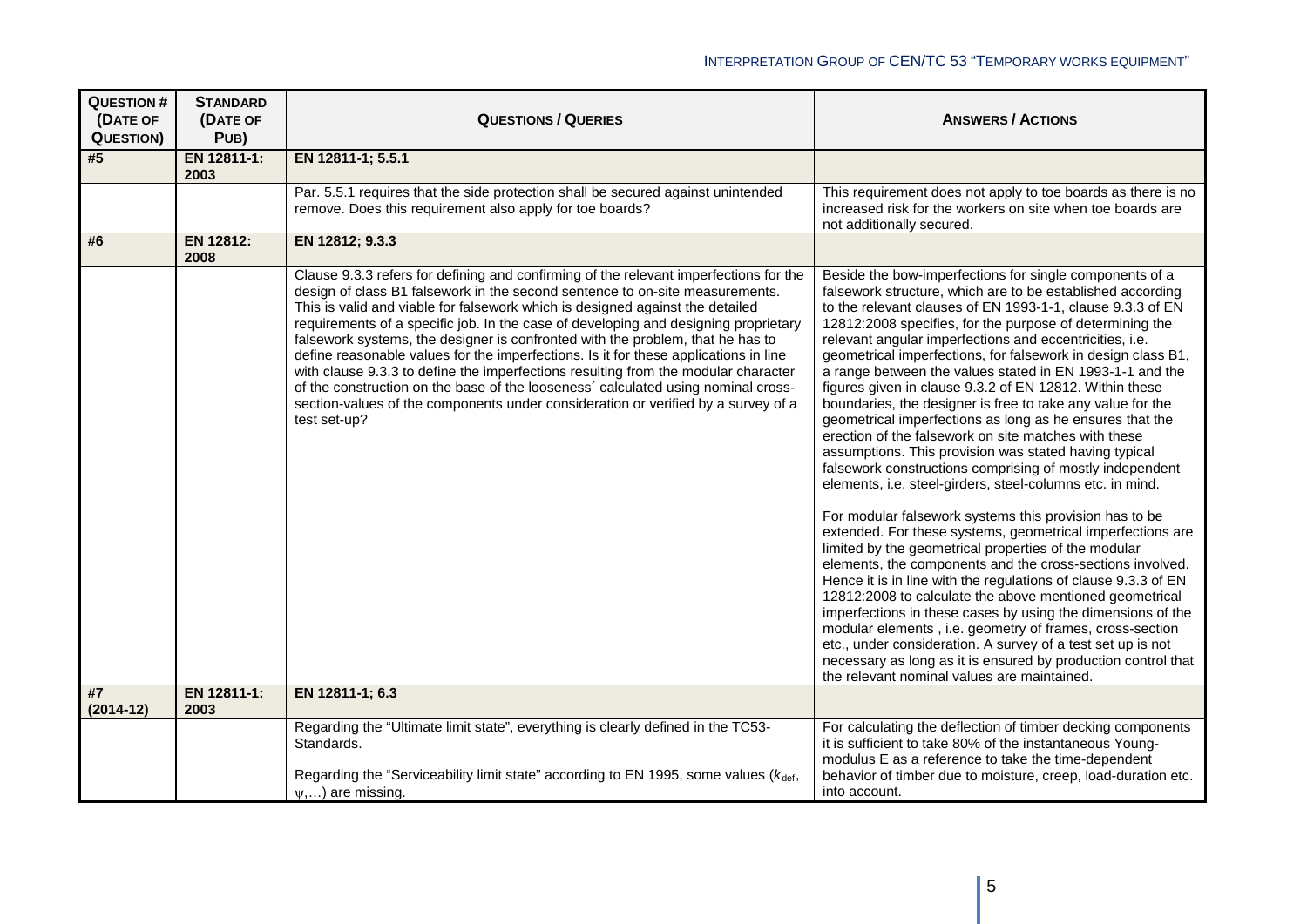| <b>QUESTION#</b><br>(DATE OF<br><b>QUESTION)</b> | <b>STANDARD</b><br>(DATE OF<br>PUB) | <b>QUESTIONS / QUERIES</b>                                                                                                                                                                                                                                                                                                                                                                                                                                                                                                                                                                                                                                                                                                                                                                              | <b>ANSWERS / ACTIONS</b>                                                                                                                                                                                                                                                                                                                                                                                                                                                                                                                                                                                                                                                                                                                                                                                                                                                                                                                                                                                                                                                                                                                                                                                                                                                                                                                                                                                                                                                                                                                                  |
|--------------------------------------------------|-------------------------------------|---------------------------------------------------------------------------------------------------------------------------------------------------------------------------------------------------------------------------------------------------------------------------------------------------------------------------------------------------------------------------------------------------------------------------------------------------------------------------------------------------------------------------------------------------------------------------------------------------------------------------------------------------------------------------------------------------------------------------------------------------------------------------------------------------------|-----------------------------------------------------------------------------------------------------------------------------------------------------------------------------------------------------------------------------------------------------------------------------------------------------------------------------------------------------------------------------------------------------------------------------------------------------------------------------------------------------------------------------------------------------------------------------------------------------------------------------------------------------------------------------------------------------------------------------------------------------------------------------------------------------------------------------------------------------------------------------------------------------------------------------------------------------------------------------------------------------------------------------------------------------------------------------------------------------------------------------------------------------------------------------------------------------------------------------------------------------------------------------------------------------------------------------------------------------------------------------------------------------------------------------------------------------------------------------------------------------------------------------------------------------------|
| #5                                               | EN 12811-1:<br>2003                 | EN 12811-1; 5.5.1                                                                                                                                                                                                                                                                                                                                                                                                                                                                                                                                                                                                                                                                                                                                                                                       |                                                                                                                                                                                                                                                                                                                                                                                                                                                                                                                                                                                                                                                                                                                                                                                                                                                                                                                                                                                                                                                                                                                                                                                                                                                                                                                                                                                                                                                                                                                                                           |
|                                                  |                                     | Par. 5.5.1 requires that the side protection shall be secured against unintended<br>remove. Does this requirement also apply for toe boards?                                                                                                                                                                                                                                                                                                                                                                                                                                                                                                                                                                                                                                                            | This requirement does not apply to toe boards as there is no<br>increased risk for the workers on site when toe boards are<br>not additionally secured.                                                                                                                                                                                                                                                                                                                                                                                                                                                                                                                                                                                                                                                                                                                                                                                                                                                                                                                                                                                                                                                                                                                                                                                                                                                                                                                                                                                                   |
| #6                                               | EN 12812:<br>2008                   | EN 12812; 9.3.3                                                                                                                                                                                                                                                                                                                                                                                                                                                                                                                                                                                                                                                                                                                                                                                         |                                                                                                                                                                                                                                                                                                                                                                                                                                                                                                                                                                                                                                                                                                                                                                                                                                                                                                                                                                                                                                                                                                                                                                                                                                                                                                                                                                                                                                                                                                                                                           |
|                                                  |                                     | Clause 9.3.3 refers for defining and confirming of the relevant imperfections for the<br>design of class B1 falsework in the second sentence to on-site measurements.<br>This is valid and viable for falsework which is designed against the detailed<br>requirements of a specific job. In the case of developing and designing proprietary<br>falsework systems, the designer is confronted with the problem, that he has to<br>define reasonable values for the imperfections. Is it for these applications in line<br>with clause 9.3.3 to define the imperfections resulting from the modular character<br>of the construction on the base of the looseness' calculated using nominal cross-<br>section-values of the components under consideration or verified by a survey of a<br>test set-up? | Beside the bow-imperfections for single components of a<br>falsework structure, which are to be established according<br>to the relevant clauses of EN 1993-1-1, clause 9.3.3 of EN<br>12812:2008 specifies, for the purpose of determining the<br>relevant angular imperfections and eccentricities, i.e.<br>geometrical imperfections, for falsework in design class B1,<br>a range between the values stated in EN 1993-1-1 and the<br>figures given in clause 9.3.2 of EN 12812. Within these<br>boundaries, the designer is free to take any value for the<br>geometrical imperfections as long as he ensures that the<br>erection of the falsework on site matches with these<br>assumptions. This provision was stated having typical<br>falsework constructions comprising of mostly independent<br>elements, i.e. steel-girders, steel-columns etc. in mind.<br>For modular falsework systems this provision has to be<br>extended. For these systems, geometrical imperfections are<br>limited by the geometrical properties of the modular<br>elements, the components and the cross-sections involved.<br>Hence it is in line with the regulations of clause 9.3.3 of EN<br>12812:2008 to calculate the above mentioned geometrical<br>imperfections in these cases by using the dimensions of the<br>modular elements, i.e. geometry of frames, cross-section<br>etc., under consideration. A survey of a test set up is not<br>necessary as long as it is ensured by production control that<br>the relevant nominal values are maintained. |
| #7<br>$(2014-12)$                                | EN 12811-1:<br>2003                 | EN 12811-1; 6.3                                                                                                                                                                                                                                                                                                                                                                                                                                                                                                                                                                                                                                                                                                                                                                                         |                                                                                                                                                                                                                                                                                                                                                                                                                                                                                                                                                                                                                                                                                                                                                                                                                                                                                                                                                                                                                                                                                                                                                                                                                                                                                                                                                                                                                                                                                                                                                           |
|                                                  |                                     | Regarding the "Ultimate limit state", everything is clearly defined in the TC53-<br>Standards.                                                                                                                                                                                                                                                                                                                                                                                                                                                                                                                                                                                                                                                                                                          | For calculating the deflection of timber decking components<br>it is sufficient to take 80% of the instantaneous Young-<br>modulus E as a reference to take the time-dependent                                                                                                                                                                                                                                                                                                                                                                                                                                                                                                                                                                                                                                                                                                                                                                                                                                                                                                                                                                                                                                                                                                                                                                                                                                                                                                                                                                            |
|                                                  |                                     | Regarding the "Serviceability limit state" according to EN 1995, some values ( $k_{\text{def}}$ ,<br>$\psi$ ,) are missing.                                                                                                                                                                                                                                                                                                                                                                                                                                                                                                                                                                                                                                                                             | behavior of timber due to moisture, creep, load-duration etc.<br>into account.                                                                                                                                                                                                                                                                                                                                                                                                                                                                                                                                                                                                                                                                                                                                                                                                                                                                                                                                                                                                                                                                                                                                                                                                                                                                                                                                                                                                                                                                            |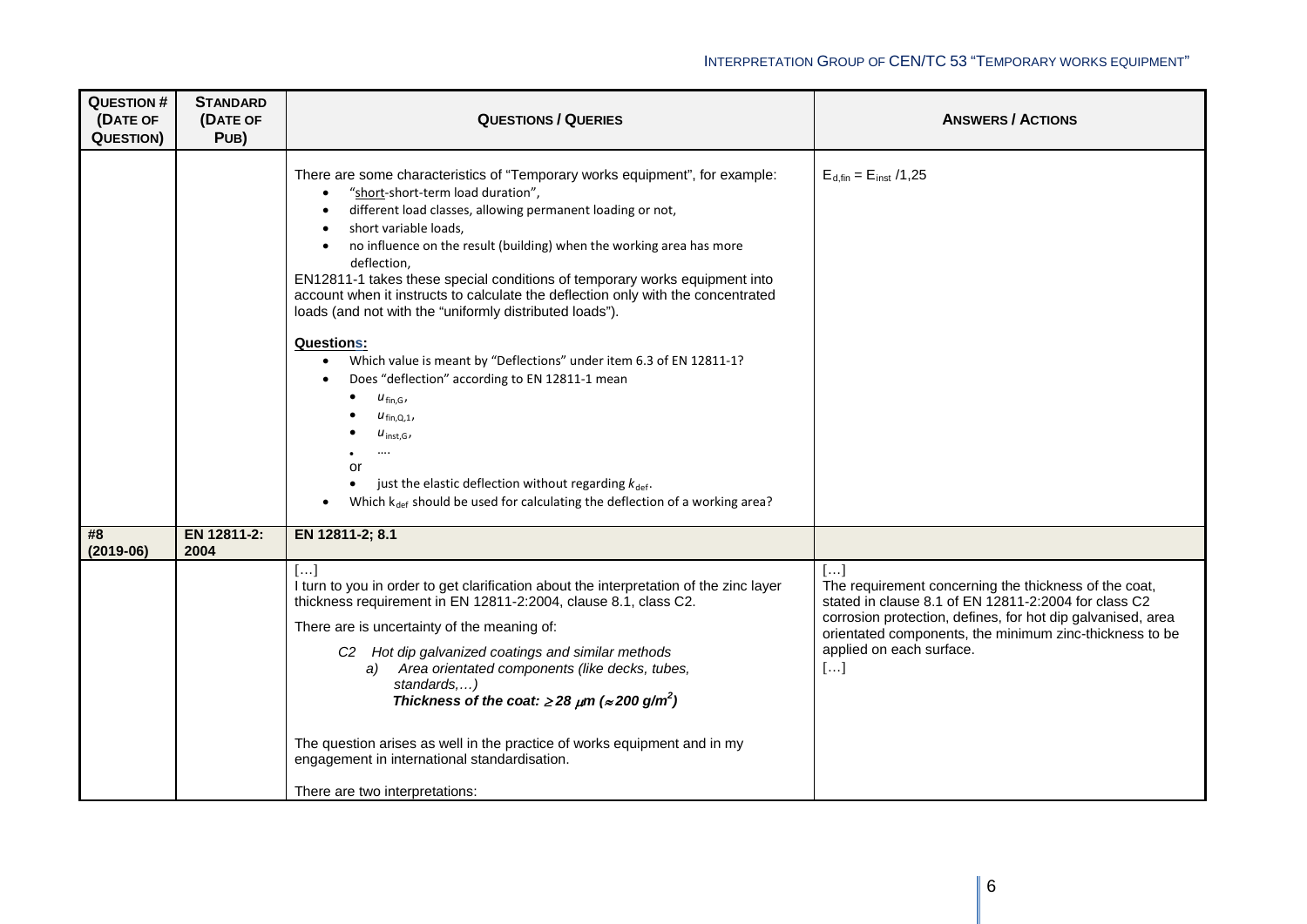| <b>QUESTION#</b><br>(DATE OF<br><b>QUESTION)</b> | <b>STANDARD</b><br>(DATE OF<br>PUB) | <b>QUESTIONS / QUERIES</b>                                                                                                                                                                                                                                                                                                                                                                                                                                                                                                                                                                                                                                                                                                                                                                                                                                                                                                                                               | <b>ANSWERS / ACTIONS</b>                                                                                                                                                                                                                                                        |
|--------------------------------------------------|-------------------------------------|--------------------------------------------------------------------------------------------------------------------------------------------------------------------------------------------------------------------------------------------------------------------------------------------------------------------------------------------------------------------------------------------------------------------------------------------------------------------------------------------------------------------------------------------------------------------------------------------------------------------------------------------------------------------------------------------------------------------------------------------------------------------------------------------------------------------------------------------------------------------------------------------------------------------------------------------------------------------------|---------------------------------------------------------------------------------------------------------------------------------------------------------------------------------------------------------------------------------------------------------------------------------|
|                                                  |                                     | There are some characteristics of "Temporary works equipment", for example:<br>"short-short-term load duration",<br>$\bullet$<br>different load classes, allowing permanent loading or not,<br>$\bullet$<br>short variable loads,<br>no influence on the result (building) when the working area has more<br>$\bullet$<br>deflection,<br>EN12811-1 takes these special conditions of temporary works equipment into<br>account when it instructs to calculate the deflection only with the concentrated<br>loads (and not with the "uniformly distributed loads").<br><b>Questions:</b><br>Which value is meant by "Deflections" under item 6.3 of EN 12811-1?<br>Does "deflection" according to EN 12811-1 mean<br>٠<br>$u_{fin,G}$<br>$u_{fin,Q,1}$<br>$u_{inst,G}$<br><br>or<br>just the elastic deflection without regarding $k_{\text{def}}$ .<br>$\bullet$<br>Which k <sub>def</sub> should be used for calculating the deflection of a working area?<br>$\bullet$ | $E_{d,fin} = E_{inst}$ /1,25                                                                                                                                                                                                                                                    |
| #8<br>$(2019-06)$                                | EN 12811-2:<br>2004                 | EN 12811-2; 8.1                                                                                                                                                                                                                                                                                                                                                                                                                                                                                                                                                                                                                                                                                                                                                                                                                                                                                                                                                          |                                                                                                                                                                                                                                                                                 |
|                                                  |                                     | []<br>I turn to you in order to get clarification about the interpretation of the zinc layer<br>thickness requirement in EN 12811-2:2004, clause 8.1, class C2.<br>There are is uncertainty of the meaning of:<br>C <sub>2</sub> Hot dip galvanized coatings and similar methods<br>a) Area orientated components (like decks, tubes,<br>standards,)<br>Thickness of the coat: $\geq$ 28 $\mu$ m ( $\approx$ 200 g/m <sup>2</sup> )<br>The question arises as well in the practice of works equipment and in my<br>engagement in international standardisation.                                                                                                                                                                                                                                                                                                                                                                                                          | []<br>The requirement concerning the thickness of the coat,<br>stated in clause 8.1 of EN 12811-2:2004 for class C2<br>corrosion protection, defines, for hot dip galvanised, area<br>orientated components, the minimum zinc-thickness to be<br>applied on each surface.<br>[] |
|                                                  |                                     | There are two interpretations:                                                                                                                                                                                                                                                                                                                                                                                                                                                                                                                                                                                                                                                                                                                                                                                                                                                                                                                                           |                                                                                                                                                                                                                                                                                 |